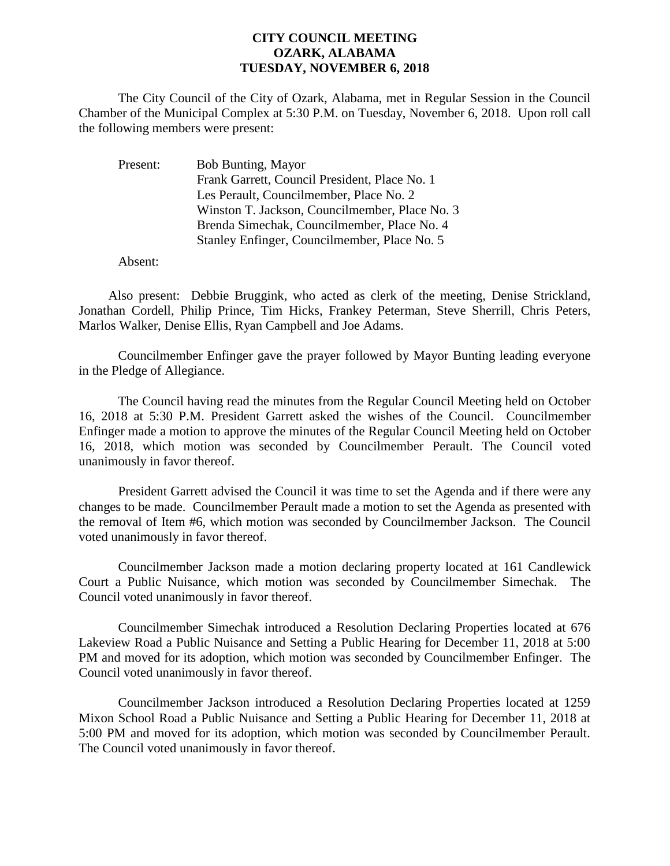## **CITY COUNCIL MEETING OZARK, ALABAMA TUESDAY, NOVEMBER 6, 2018**

The City Council of the City of Ozark, Alabama, met in Regular Session in the Council Chamber of the Municipal Complex at 5:30 P.M. on Tuesday, November 6, 2018. Upon roll call the following members were present:

| Present: | <b>Bob Bunting, Mayor</b>                      |
|----------|------------------------------------------------|
|          | Frank Garrett, Council President, Place No. 1  |
|          | Les Perault, Councilmember, Place No. 2        |
|          | Winston T. Jackson, Councilmember, Place No. 3 |
|          | Brenda Simechak, Councilmember, Place No. 4    |
|          | Stanley Enfinger, Councilmember, Place No. 5   |

Absent:

Also present: Debbie Bruggink, who acted as clerk of the meeting, Denise Strickland, Jonathan Cordell, Philip Prince, Tim Hicks, Frankey Peterman, Steve Sherrill, Chris Peters, Marlos Walker, Denise Ellis, Ryan Campbell and Joe Adams.

Councilmember Enfinger gave the prayer followed by Mayor Bunting leading everyone in the Pledge of Allegiance.

The Council having read the minutes from the Regular Council Meeting held on October 16, 2018 at 5:30 P.M. President Garrett asked the wishes of the Council. Councilmember Enfinger made a motion to approve the minutes of the Regular Council Meeting held on October 16, 2018, which motion was seconded by Councilmember Perault. The Council voted unanimously in favor thereof.

President Garrett advised the Council it was time to set the Agenda and if there were any changes to be made. Councilmember Perault made a motion to set the Agenda as presented with the removal of Item #6, which motion was seconded by Councilmember Jackson. The Council voted unanimously in favor thereof.

Councilmember Jackson made a motion declaring property located at 161 Candlewick Court a Public Nuisance, which motion was seconded by Councilmember Simechak. The Council voted unanimously in favor thereof.

Councilmember Simechak introduced a Resolution Declaring Properties located at 676 Lakeview Road a Public Nuisance and Setting a Public Hearing for December 11, 2018 at 5:00 PM and moved for its adoption, which motion was seconded by Councilmember Enfinger. The Council voted unanimously in favor thereof.

Councilmember Jackson introduced a Resolution Declaring Properties located at 1259 Mixon School Road a Public Nuisance and Setting a Public Hearing for December 11, 2018 at 5:00 PM and moved for its adoption, which motion was seconded by Councilmember Perault. The Council voted unanimously in favor thereof.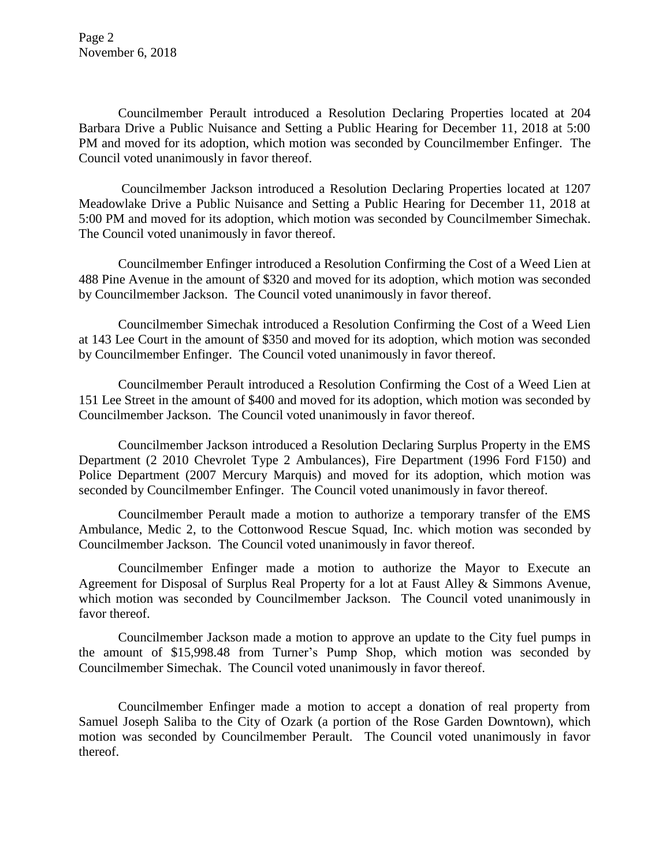Page 2 November 6, 2018

Councilmember Perault introduced a Resolution Declaring Properties located at 204 Barbara Drive a Public Nuisance and Setting a Public Hearing for December 11, 2018 at 5:00 PM and moved for its adoption, which motion was seconded by Councilmember Enfinger. The Council voted unanimously in favor thereof.

Councilmember Jackson introduced a Resolution Declaring Properties located at 1207 Meadowlake Drive a Public Nuisance and Setting a Public Hearing for December 11, 2018 at 5:00 PM and moved for its adoption, which motion was seconded by Councilmember Simechak. The Council voted unanimously in favor thereof.

Councilmember Enfinger introduced a Resolution Confirming the Cost of a Weed Lien at 488 Pine Avenue in the amount of \$320 and moved for its adoption, which motion was seconded by Councilmember Jackson. The Council voted unanimously in favor thereof.

Councilmember Simechak introduced a Resolution Confirming the Cost of a Weed Lien at 143 Lee Court in the amount of \$350 and moved for its adoption, which motion was seconded by Councilmember Enfinger. The Council voted unanimously in favor thereof.

Councilmember Perault introduced a Resolution Confirming the Cost of a Weed Lien at 151 Lee Street in the amount of \$400 and moved for its adoption, which motion was seconded by Councilmember Jackson. The Council voted unanimously in favor thereof.

Councilmember Jackson introduced a Resolution Declaring Surplus Property in the EMS Department (2 2010 Chevrolet Type 2 Ambulances), Fire Department (1996 Ford F150) and Police Department (2007 Mercury Marquis) and moved for its adoption, which motion was seconded by Councilmember Enfinger. The Council voted unanimously in favor thereof.

Councilmember Perault made a motion to authorize a temporary transfer of the EMS Ambulance, Medic 2, to the Cottonwood Rescue Squad, Inc. which motion was seconded by Councilmember Jackson. The Council voted unanimously in favor thereof.

Councilmember Enfinger made a motion to authorize the Mayor to Execute an Agreement for Disposal of Surplus Real Property for a lot at Faust Alley & Simmons Avenue, which motion was seconded by Councilmember Jackson. The Council voted unanimously in favor thereof.

Councilmember Jackson made a motion to approve an update to the City fuel pumps in the amount of \$15,998.48 from Turner's Pump Shop, which motion was seconded by Councilmember Simechak. The Council voted unanimously in favor thereof.

Councilmember Enfinger made a motion to accept a donation of real property from Samuel Joseph Saliba to the City of Ozark (a portion of the Rose Garden Downtown), which motion was seconded by Councilmember Perault. The Council voted unanimously in favor thereof.